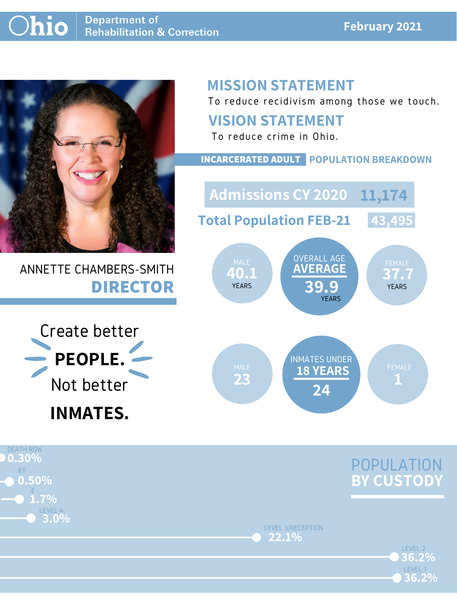

### ANNETTE CHAMBERS-SMITH **DIRECTOR**

## **MISSION STATEMENT**

To reduce recidivism among those we touch.



LEVEL 2

LEVEL 3/RECEPTION **22.1%**

LEVEL 1

**36.2%**

**36.2%**

### **VISION STATEMENT**



#### DEATH ROW ET LEVEL 4 **0.30% 0.50% 3.0%** E **1.7%**

To reduce crime in Ohio.

**40.1 37.7 AVERAGE 39.9** OVERALL AGE YEARS YEARS **YEARS YEARS** MALE WAS UVERALL AUL WALE FEMALE **Admissions CY 2020 11,174 Total Population FEB-21 43,495**

#### **INCARCERATED ADULT POPULATION BREAKDOWN**

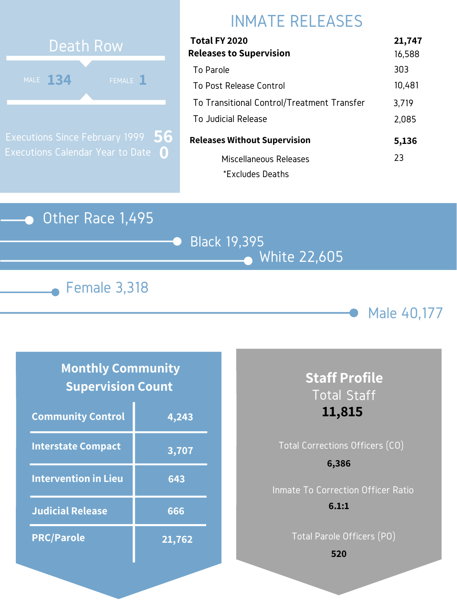### Other Race 1,495







## INMATE RELEASES



Executions Since February 1999 Executions Calendar Year to Date **0 56**

### **Monthly Community Supervision Count**

| Total FY 2020                              | 21,747 |
|--------------------------------------------|--------|
| <b>Releases to Supervision</b>             | 16,588 |
| To Parole                                  | 303    |
| To Post Release Control                    | 10,481 |
| To Transitional Control/Treatment Transfer | 3,719  |
| To Judicial Release                        | 2,085  |
| <b>Releases Without Supervision</b>        | 5,136  |
| Miscellaneous Releases                     | 23     |
| *Excludes Deaths                           |        |

| <b>Community Control</b>    | 4,243  |
|-----------------------------|--------|
| <b>Interstate Compact</b>   | 3,707  |
| <b>Intervention in Lieu</b> | 643    |
| <b>Judicial Release</b>     | 666    |
| <b>PRC/Parole</b>           | 21,762 |

# Total Corrections Officers (CO) Inmate To Correction Officer Ratio **6,386**

### **Staff Profile** Total Staff **11,815**

Total Parole Officers (PO)

#### **6.1:1**

**520**